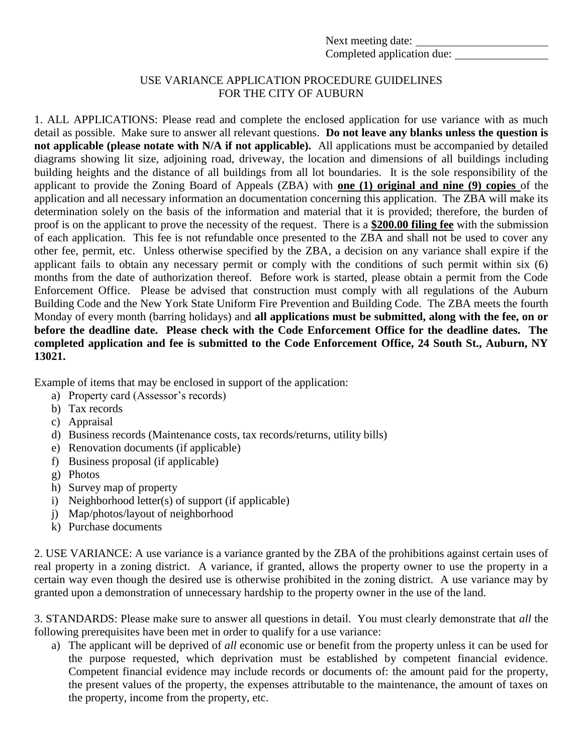Next meeting date: Completed application due:

# USE VARIANCE APPLICATION PROCEDURE GUIDELINES FOR THE CITY OF AUBURN

1. ALL APPLICATIONS: Please read and complete the enclosed application for use variance with as much detail as possible. Make sure to answer all relevant questions. **Do not leave any blanks unless the question is not applicable (please notate with N/A if not applicable).** All applications must be accompanied by detailed diagrams showing lit size, adjoining road, driveway, the location and dimensions of all buildings including building heights and the distance of all buildings from all lot boundaries. It is the sole responsibility of the applicant to provide the Zoning Board of Appeals (ZBA) with **one (1) original and nine (9) copies** of the application and all necessary information an documentation concerning this application. The ZBA will make its determination solely on the basis of the information and material that it is provided; therefore, the burden of proof is on the applicant to prove the necessity of the request. There is a **\$200.00 filing fee** with the submission of each application. This fee is not refundable once presented to the ZBA and shall not be used to cover any other fee, permit, etc. Unless otherwise specified by the ZBA, a decision on any variance shall expire if the applicant fails to obtain any necessary permit or comply with the conditions of such permit within six (6) months from the date of authorization thereof. Before work is started, please obtain a permit from the Code Enforcement Office. Please be advised that construction must comply with all regulations of the Auburn Building Code and the New York State Uniform Fire Prevention and Building Code. The ZBA meets the fourth Monday of every month (barring holidays) and **all applications must be submitted, along with the fee, on or before the deadline date. Please check with the Code Enforcement Office for the deadline dates. The completed application and fee is submitted to the Code Enforcement Office, 24 South St., Auburn, NY 13021.**

Example of items that may be enclosed in support of the application:

- a) Property card (Assessor's records)
- b) Tax records
- c) Appraisal
- d) Business records (Maintenance costs, tax records/returns, utility bills)
- e) Renovation documents (if applicable)
- f) Business proposal (if applicable)
- g) Photos
- h) Survey map of property
- i) Neighborhood letter(s) of support (if applicable)
- j) Map/photos/layout of neighborhood
- k) Purchase documents

2. USE VARIANCE: A use variance is a variance granted by the ZBA of the prohibitions against certain uses of real property in a zoning district. A variance, if granted, allows the property owner to use the property in a certain way even though the desired use is otherwise prohibited in the zoning district. A use variance may by granted upon a demonstration of unnecessary hardship to the property owner in the use of the land.

3. STANDARDS: Please make sure to answer all questions in detail. You must clearly demonstrate that *all* the following prerequisites have been met in order to qualify for a use variance:

a) The applicant will be deprived of *all* economic use or benefit from the property unless it can be used for the purpose requested, which deprivation must be established by competent financial evidence. Competent financial evidence may include records or documents of: the amount paid for the property, the present values of the property, the expenses attributable to the maintenance, the amount of taxes on the property, income from the property, etc.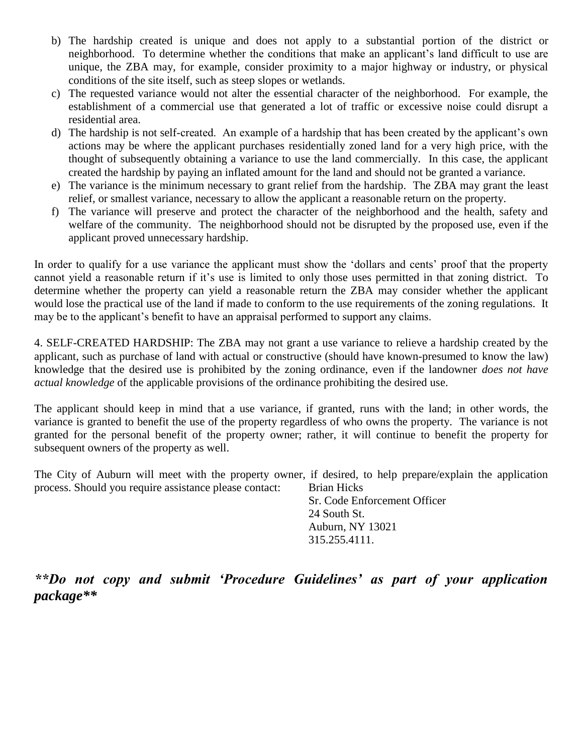- b) The hardship created is unique and does not apply to a substantial portion of the district or neighborhood. To determine whether the conditions that make an applicant's land difficult to use are unique, the ZBA may, for example, consider proximity to a major highway or industry, or physical conditions of the site itself, such as steep slopes or wetlands.
- c) The requested variance would not alter the essential character of the neighborhood. For example, the establishment of a commercial use that generated a lot of traffic or excessive noise could disrupt a residential area.
- d) The hardship is not self-created. An example of a hardship that has been created by the applicant's own actions may be where the applicant purchases residentially zoned land for a very high price, with the thought of subsequently obtaining a variance to use the land commercially. In this case, the applicant created the hardship by paying an inflated amount for the land and should not be granted a variance.
- e) The variance is the minimum necessary to grant relief from the hardship. The ZBA may grant the least relief, or smallest variance, necessary to allow the applicant a reasonable return on the property.
- f) The variance will preserve and protect the character of the neighborhood and the health, safety and welfare of the community. The neighborhood should not be disrupted by the proposed use, even if the applicant proved unnecessary hardship.

In order to qualify for a use variance the applicant must show the 'dollars and cents' proof that the property cannot yield a reasonable return if it's use is limited to only those uses permitted in that zoning district. To determine whether the property can yield a reasonable return the ZBA may consider whether the applicant would lose the practical use of the land if made to conform to the use requirements of the zoning regulations. It may be to the applicant's benefit to have an appraisal performed to support any claims.

4. SELF-CREATED HARDSHIP: The ZBA may not grant a use variance to relieve a hardship created by the applicant, such as purchase of land with actual or constructive (should have known-presumed to know the law) knowledge that the desired use is prohibited by the zoning ordinance, even if the landowner *does not have actual knowledge* of the applicable provisions of the ordinance prohibiting the desired use.

The applicant should keep in mind that a use variance, if granted, runs with the land; in other words, the variance is granted to benefit the use of the property regardless of who owns the property. The variance is not granted for the personal benefit of the property owner; rather, it will continue to benefit the property for subsequent owners of the property as well.

The City of Auburn will meet with the property owner, if desired, to help prepare/explain the application process. Should you require assistance please contact: Brian Hicks

Sr. Code Enforcement Officer 24 South St. Auburn, NY 13021 315.255.4111.

*\*\*Do not copy and submit 'Procedure Guidelines' as part of your application package\*\**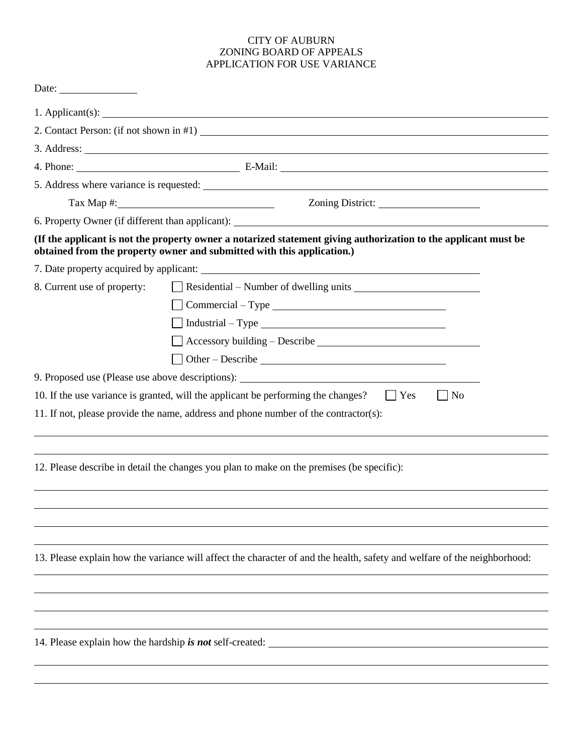### CITY OF AUBURN ZONING BOARD OF APPEALS APPLICATION FOR USE VARIANCE

| Date: $\frac{1}{\sqrt{1-\frac{1}{2}}\cdot\frac{1}{2}}$ |                                                                                                                                                                                           |
|--------------------------------------------------------|-------------------------------------------------------------------------------------------------------------------------------------------------------------------------------------------|
|                                                        | 1. Applicant(s): $\qquad \qquad$                                                                                                                                                          |
|                                                        |                                                                                                                                                                                           |
|                                                        |                                                                                                                                                                                           |
|                                                        |                                                                                                                                                                                           |
|                                                        |                                                                                                                                                                                           |
|                                                        |                                                                                                                                                                                           |
|                                                        | 6. Property Owner (if different than applicant): _______________________________                                                                                                          |
|                                                        | (If the applicant is not the property owner a notarized statement giving authorization to the applicant must be<br>obtained from the property owner and submitted with this application.) |
|                                                        |                                                                                                                                                                                           |
| 8. Current use of property:                            |                                                                                                                                                                                           |
|                                                        | $Commercial - Type \nightharpoonup$                                                                                                                                                       |
|                                                        |                                                                                                                                                                                           |
|                                                        |                                                                                                                                                                                           |
|                                                        |                                                                                                                                                                                           |
|                                                        | 9. Proposed use (Please use above descriptions): _______________________________                                                                                                          |
|                                                        | 10. If the use variance is granted, will the applicant be performing the changes? $\Box$ Yes<br><b>No</b><br>$\mathbf{I}$                                                                 |
|                                                        | 11. If not, please provide the name, address and phone number of the contractor(s):                                                                                                       |
|                                                        |                                                                                                                                                                                           |
|                                                        |                                                                                                                                                                                           |
|                                                        | 12. Please describe in detail the changes you plan to make on the premises (be specific):                                                                                                 |
|                                                        |                                                                                                                                                                                           |
|                                                        |                                                                                                                                                                                           |
|                                                        |                                                                                                                                                                                           |
|                                                        |                                                                                                                                                                                           |
|                                                        | 13. Please explain how the variance will affect the character of and the health, safety and welfare of the neighborhood:                                                                  |
|                                                        |                                                                                                                                                                                           |
|                                                        |                                                                                                                                                                                           |
|                                                        |                                                                                                                                                                                           |
|                                                        | 14. Please explain how the hardship is not self-created: ______                                                                                                                           |
|                                                        |                                                                                                                                                                                           |
|                                                        |                                                                                                                                                                                           |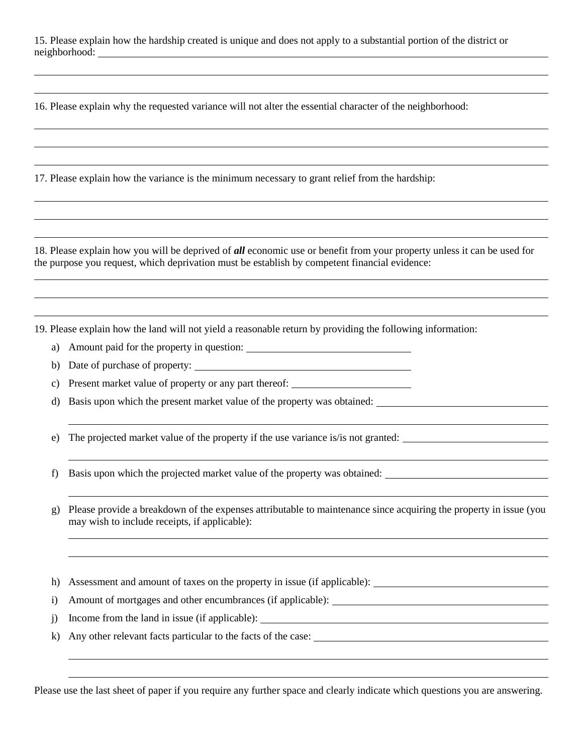15. Please explain how the hardship created is unique and does not apply to a substantial portion of the district or neighborhood:

16. Please explain why the requested variance will not alter the essential character of the neighborhood:

17. Please explain how the variance is the minimum necessary to grant relief from the hardship:

18. Please explain how you will be deprived of *all* economic use or benefit from your property unless it can be used for the purpose you request, which deprivation must be establish by competent financial evidence:

19. Please explain how the land will not yield a reasonable return by providing the following information:

- a) Amount paid for the property in question:
- b) Date of purchase of property:
- c) Present market value of property or any part thereof:
- d) Basis upon which the present market value of the property was obtained:
- e) The projected market value of the property if the use variance is/is not granted:
- f) Basis upon which the projected market value of the property was obtained:
- g) Please provide a breakdown of the expenses attributable to maintenance since acquiring the property in issue (you may wish to include receipts, if applicable):
- h) Assessment and amount of taxes on the property in issue (if applicable):
- i) Amount of mortgages and other encumbrances (if applicable):
- j) Income from the land in issue (if applicable):
- k) Any other relevant facts particular to the facts of the case:

Please use the last sheet of paper if you require any further space and clearly indicate which questions you are answering.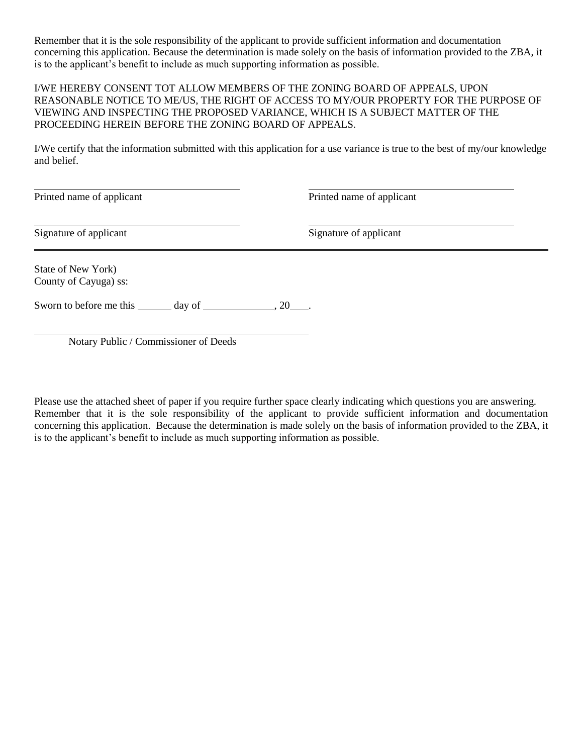Remember that it is the sole responsibility of the applicant to provide sufficient information and documentation concerning this application. Because the determination is made solely on the basis of information provided to the ZBA, it is to the applicant's benefit to include as much supporting information as possible.

#### I/WE HEREBY CONSENT TOT ALLOW MEMBERS OF THE ZONING BOARD OF APPEALS, UPON REASONABLE NOTICE TO ME/US, THE RIGHT OF ACCESS TO MY/OUR PROPERTY FOR THE PURPOSE OF VIEWING AND INSPECTING THE PROPOSED VARIANCE, WHICH IS A SUBJECT MATTER OF THE PROCEEDING HEREIN BEFORE THE ZONING BOARD OF APPEALS.

I/We certify that the information submitted with this application for a use variance is true to the best of my/our knowledge and belief.

| Printed name of applicant                   | Printed name of applicant |
|---------------------------------------------|---------------------------|
| Signature of applicant                      | Signature of applicant    |
| State of New York)<br>County of Cayuga) ss: |                           |
| Sworn to before me this day of              | $\frac{1}{20}$ .          |
| Notary Public / Commissioner of Deeds       |                           |

Please use the attached sheet of paper if you require further space clearly indicating which questions you are answering. Remember that it is the sole responsibility of the applicant to provide sufficient information and documentation concerning this application. Because the determination is made solely on the basis of information provided to the ZBA, it

is to the applicant's benefit to include as much supporting information as possible.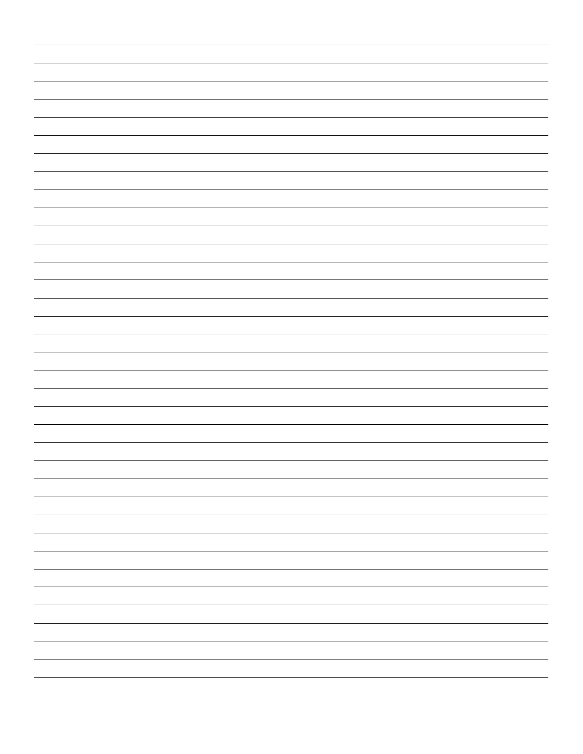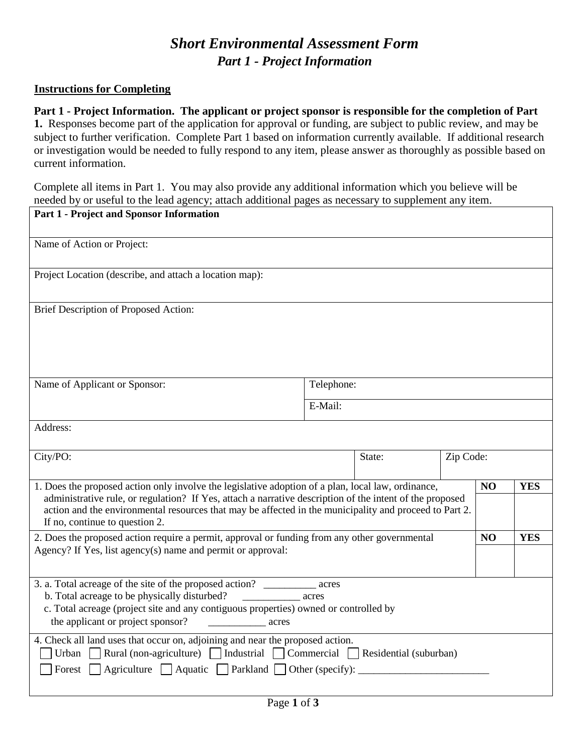# *Short Environmental Assessment Form Part 1 - Project Information*

## **Instructions for Completing**

**Part 1 - [Project Information.](http://www.dec.ny.gov/permits/90156.html) The applicant or project sponsor is responsible for the completion of Part 1.** Responses become part of the application for approval or funding, are subject to public review, and may be subject to further verification. Complete Part 1 based on information currently available. If additional research or investigation would be needed to fully respond to any item, please answer as thoroughly as possible based on current information.

Complete all items in Part 1. You may also provide any additional information which you believe will be needed by or useful to the lead agency; attach additional pages as necessary to supplement any item.

| <b>Part 1 - Project and Sponsor Information</b>                                                                                                                                                                                                                                                                                                                                                                   |                     |  |                |            |            |  |
|-------------------------------------------------------------------------------------------------------------------------------------------------------------------------------------------------------------------------------------------------------------------------------------------------------------------------------------------------------------------------------------------------------------------|---------------------|--|----------------|------------|------------|--|
| Name of Action or Project:                                                                                                                                                                                                                                                                                                                                                                                        |                     |  |                |            |            |  |
| Project Location (describe, and attach a location map):                                                                                                                                                                                                                                                                                                                                                           |                     |  |                |            |            |  |
| Brief Description of Proposed Action:                                                                                                                                                                                                                                                                                                                                                                             |                     |  |                |            |            |  |
| Name of Applicant or Sponsor:                                                                                                                                                                                                                                                                                                                                                                                     | Telephone:          |  |                |            |            |  |
|                                                                                                                                                                                                                                                                                                                                                                                                                   | E-Mail:             |  |                |            |            |  |
| Address:                                                                                                                                                                                                                                                                                                                                                                                                          |                     |  |                |            |            |  |
| City/PO:                                                                                                                                                                                                                                                                                                                                                                                                          | Zip Code:<br>State: |  |                |            |            |  |
| 1. Does the proposed action only involve the legislative adoption of a plan, local law, ordinance,<br>administrative rule, or regulation? If Yes, attach a narrative description of the intent of the proposed<br>action and the environmental resources that may be affected in the municipality and proceed to Part 2.<br>If no, continue to question 2.                                                        |                     |  |                | NO         | <b>YES</b> |  |
| 2. Does the proposed action require a permit, approval or funding from any other governmental                                                                                                                                                                                                                                                                                                                     |                     |  | N <sub>O</sub> | <b>YES</b> |            |  |
| Agency? If Yes, list agency(s) name and permit or approval:                                                                                                                                                                                                                                                                                                                                                       |                     |  |                |            |            |  |
| b. Total acreage to be physically disturbed?<br>c. Total acreage (project site and any contiguous properties) owned or controlled by<br>the applicant or project sponsor?<br><b>Exercise Service Service Service Service Service Service Service Service Service Service Service Service Service Service Service Service Service Service Service Service Service Service Service Service Service Service Serv</b> | acres               |  |                |            |            |  |
| 4. Check all land uses that occur on, adjoining and near the proposed action.<br>Urban Rural (non-agriculture) $\Box$ Industrial $\Box$ Commercial $\Box$ Residential (suburban)<br>Agriculture $\Box$ Aquatic $\Box$ Parkland $\Box$ Other (specify): $\Box$<br>Forest                                                                                                                                           |                     |  |                |            |            |  |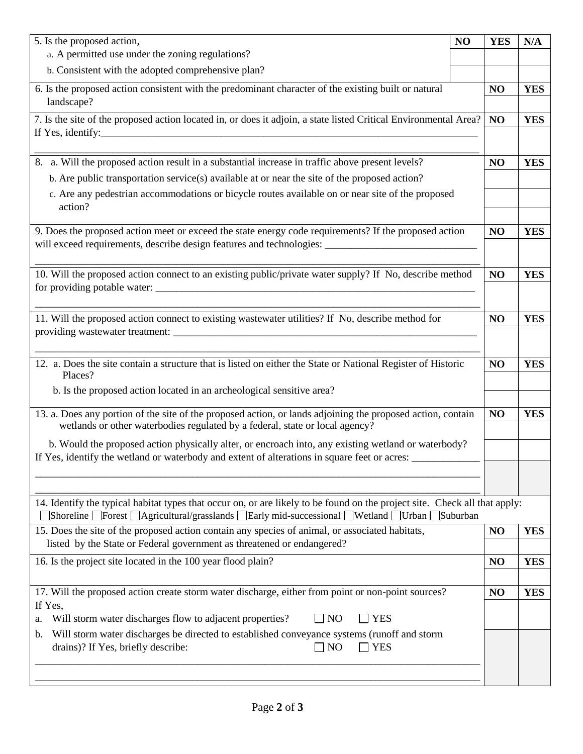| 5. Is the proposed action,<br>N <sub>O</sub>                                                                                                                                                                               |  | <b>YES</b>     | N/A        |
|----------------------------------------------------------------------------------------------------------------------------------------------------------------------------------------------------------------------------|--|----------------|------------|
| a. A permitted use under the zoning regulations?                                                                                                                                                                           |  |                |            |
| b. Consistent with the adopted comprehensive plan?                                                                                                                                                                         |  |                |            |
| 6. Is the proposed action consistent with the predominant character of the existing built or natural<br>landscape?                                                                                                         |  |                | <b>YES</b> |
| 7. Is the site of the proposed action located in, or does it adjoin, a state listed Critical Environmental Area?                                                                                                           |  | N <sub>O</sub> | <b>YES</b> |
|                                                                                                                                                                                                                            |  |                |            |
|                                                                                                                                                                                                                            |  |                |            |
| 8. a. Will the proposed action result in a substantial increase in traffic above present levels?                                                                                                                           |  |                | <b>YES</b> |
| b. Are public transportation service(s) available at or near the site of the proposed action?                                                                                                                              |  |                |            |
| c. Are any pedestrian accommodations or bicycle routes available on or near site of the proposed<br>action?                                                                                                                |  |                |            |
| 9. Does the proposed action meet or exceed the state energy code requirements? If the proposed action                                                                                                                      |  |                | <b>YES</b> |
|                                                                                                                                                                                                                            |  |                |            |
| 10. Will the proposed action connect to an existing public/private water supply? If No, describe method                                                                                                                    |  |                | <b>YES</b> |
|                                                                                                                                                                                                                            |  | N <sub>O</sub> |            |
|                                                                                                                                                                                                                            |  |                |            |
| 11. Will the proposed action connect to existing wastewater utilities? If No, describe method for                                                                                                                          |  |                | <b>YES</b> |
|                                                                                                                                                                                                                            |  |                |            |
|                                                                                                                                                                                                                            |  |                |            |
| 12. a. Does the site contain a structure that is listed on either the State or National Register of Historic<br>Places?                                                                                                    |  | NO             | <b>YES</b> |
| b. Is the proposed action located in an archeological sensitive area?                                                                                                                                                      |  |                |            |
| 13. a. Does any portion of the site of the proposed action, or lands adjoining the proposed action, contain<br>wetlands or other waterbodies regulated by a federal, state or local agency?                                |  | NO             | <b>YES</b> |
| b. Would the proposed action physically alter, or encroach into, any existing wetland or waterbody?<br>If Yes, identify the wetland or waterbody and extent of alterations in square feet or acres:                        |  |                |            |
|                                                                                                                                                                                                                            |  |                |            |
| 14. Identify the typical habitat types that occur on, or are likely to be found on the project site. Check all that apply:<br>Shoreline □Forest □Agricultural/grasslands □Early mid-successional □Wetland □Urban □Suburban |  |                |            |
| 15. Does the site of the proposed action contain any species of animal, or associated habitats,                                                                                                                            |  | N <sub>O</sub> | <b>YES</b> |
| listed by the State or Federal government as threatened or endangered?                                                                                                                                                     |  |                |            |
| 16. Is the project site located in the 100 year flood plain?                                                                                                                                                               |  | NO             | <b>YES</b> |
| 17. Will the proposed action create storm water discharge, either from point or non-point sources?                                                                                                                         |  |                | <b>YES</b> |
| If Yes,                                                                                                                                                                                                                    |  |                |            |
| Will storm water discharges flow to adjacent properties?<br>N <sub>O</sub><br><b>YES</b><br>a.                                                                                                                             |  |                |            |
| Will storm water discharges be directed to established conveyance systems (runoff and storm<br>$\mathbf{b}$ .<br>drains)? If Yes, briefly describe:<br>N <sub>O</sub><br><b>YES</b><br>$\Box$                              |  |                |            |
|                                                                                                                                                                                                                            |  |                |            |